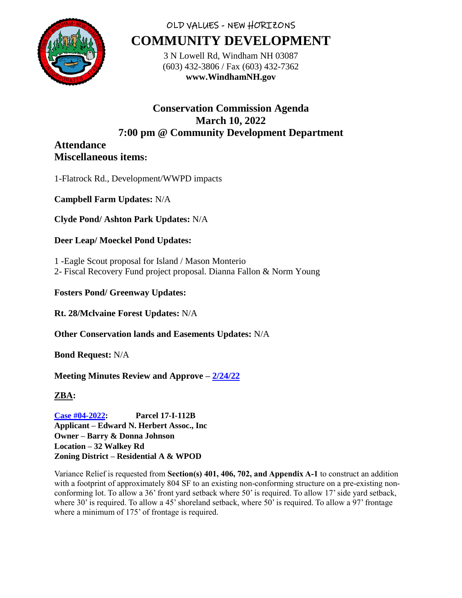

# OLD VALUES - NEW HORIZONS **COMMUNITY DEVELOPMENT**

3 N Lowell Rd, Windham NH 03087 (603) 432-3806 / Fax (603) 432-7362 **www.WindhamNH.gov**

### **Conservation Commission Agenda March 10, 2022 7:00 pm @ Community Development Department**

#### **Attendance Miscellaneous items:**

1-Flatrock Rd., Development/WWPD impacts

**Campbell Farm Updates:** N/A

**Clyde Pond/ Ashton Park Updates:** N/A

# **Deer Leap/ Moeckel Pond Updates:**

- 1 -Eagle Scout proposal for Island / Mason Monterio
- 2- Fiscal Recovery Fund project proposal. Dianna Fallon & Norm Young

### **Fosters Pond/ Greenway Updates:**

**Rt. 28/Mclvaine Forest Updates:** N/A

**Other Conservation lands and Easements Updates:** N/A

**Bond Request:** N/A

# **Meeting Minutes Review and Approve – [2/24/22](../../../Conservation%20Minutes/2022/February/02_24_2022%20-%20CC%20Draft.docx)**

**ZBA:** 

**[Case #04-2022:](https://www.windhamnh.gov/DocumentCenter/Index/915) Parcel 17-I-112B Applicant – Edward N. Herbert Assoc., Inc Owner – Barry & Donna Johnson Location – 32 Walkey Rd Zoning District – Residential A & WPOD**

Variance Relief is requested from **Section(s) 401, 406, 702, and Appendix A-1** to construct an addition with a footprint of approximately 804 SF to an existing non-conforming structure on a pre-existing nonconforming lot. To allow a 36' front yard setback where 50' is required. To allow 17' side yard setback, where 30' is required. To allow a 45' shoreland setback, where  $50'$  is required. To allow a 97' frontage where a minimum of 175' of frontage is required.